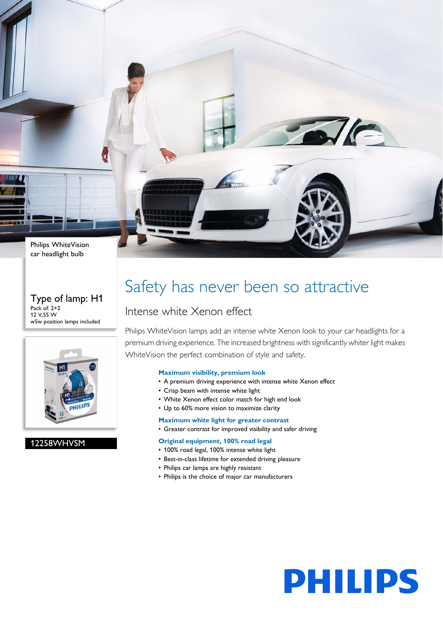Philips WhiteVision car headlight bulb

#### Type of lamp: H1 Pack of: 2+2 12 V,55 W w5w position lamps included



### 12258WHVSM

### Safety has never been so attractive

### Intense white Xenon effect

Philips WhiteVision lamps add an intense white Xenon look to your car headlights for a premium driving experience. The increased brightness with significantly whiter light makes WhiteVision the perfect combination of style and safety.

#### **Maximum visibility, premium look**

- A premium driving experience with intense white Xenon effect
- Crisp beam with intense white light
- White Xenon effect color match for high end look
- Up to 60% more vision to maximize clarity

#### **Maximum white light for greater contrast**

• Greater contrast for improved visibility and safer driving

#### **Original equipment, 100% road legal**

- 100% road legal, 100% intense white light
- Best-in-class lifetime for extended driving pleasure
- Philips car lamps are highly resistant
- Philips is the choice of major car manufacturers



 $\sqrt{C}$